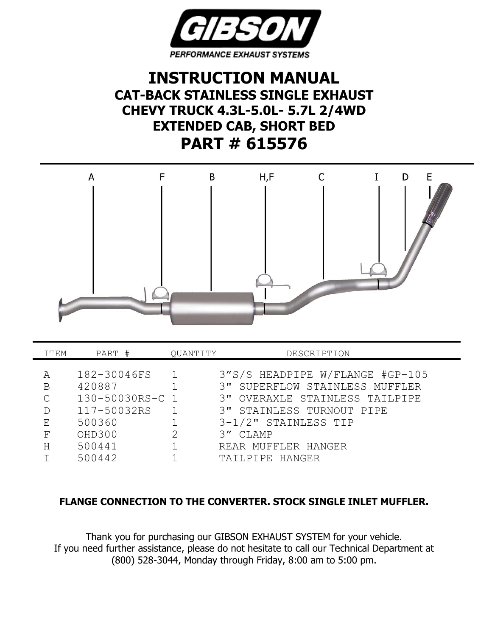

## **INSTRUCTION MANUAL CAT-BACK STAINLESS SINGLE EXHAUST CHEVY TRUCK 4.3L-5.0L- 5.7L 2/4WD EXTENDED CAB, SHORT BED PART # 615576**



| ITEM         | PART #          | QUANTITY | DESCRIPTION                     |
|--------------|-----------------|----------|---------------------------------|
|              |                 |          |                                 |
| А            | 182-30046FS     |          | 3"S/S HEADPIPE W/FLANGE #GP-105 |
| B            | 420887          |          | 3" SUPERFLOW STAINLESS MUFFLER  |
| $\mathsf{C}$ | 130-50030RS-C 1 |          | 3" OVERAXLE STAINLESS TAILPIPE  |
|              | 117-50032RS     |          | 3" STAINLESS TURNOUT PIPE       |
| Ε            | 500360          |          | 3-1/2" STAINLESS TIP            |
| F            | OHD300          | 2        | 3" CLAMP                        |
| Η            | 500441          |          | REAR MUFFLER HANGER             |
|              | 500442          |          | TAILPIPE HANGER                 |

## **FLANGE CONNECTION TO THE CONVERTER. STOCK SINGLE INLET MUFFLER.**

Thank you for purchasing our GIBSON EXHAUST SYSTEM for your vehicle. If you need further assistance, please do not hesitate to call our Technical Department at (800) 528-3044, Monday through Friday, 8:00 am to 5:00 pm.